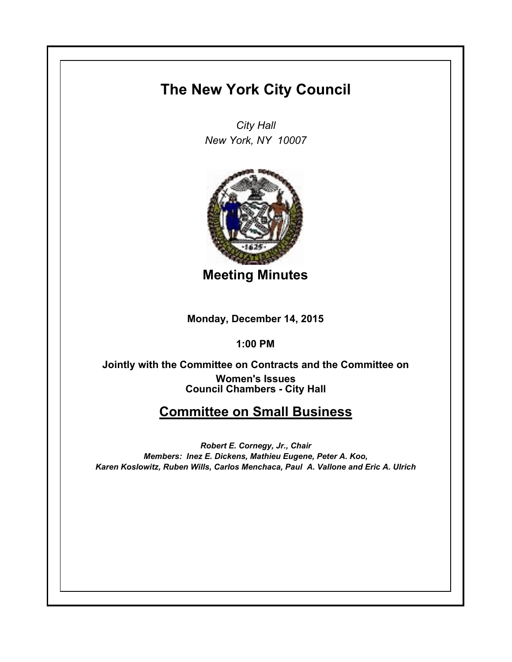# **The New York City Council**

*City Hall New York, NY 10007*



**Meeting Minutes**

**Monday, December 14, 2015**

**1:00 PM**

**Council Chambers - City Hall Jointly with the Committee on Contracts and the Committee on Women's Issues**

# **Committee on Small Business**

*Robert E. Cornegy, Jr., Chair Members: Inez E. Dickens, Mathieu Eugene, Peter A. Koo, Karen Koslowitz, Ruben Wills, Carlos Menchaca, Paul A. Vallone and Eric A. Ulrich*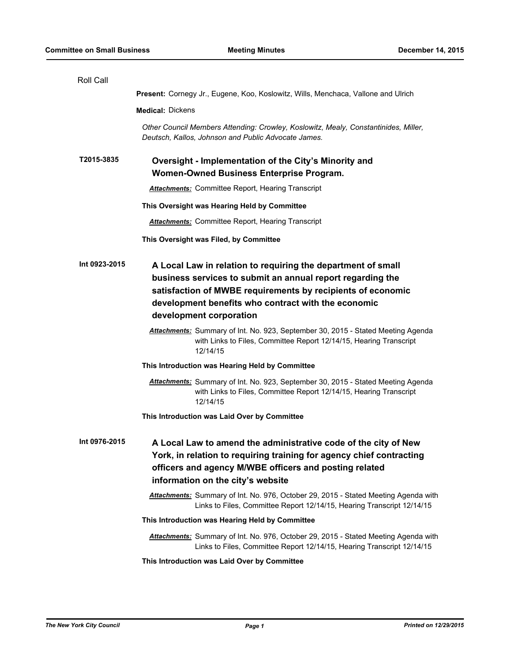| Roll Call     |                                                                                                                                                                                                                                                                             |
|---------------|-----------------------------------------------------------------------------------------------------------------------------------------------------------------------------------------------------------------------------------------------------------------------------|
|               | Present: Cornegy Jr., Eugene, Koo, Koslowitz, Wills, Menchaca, Vallone and Ulrich                                                                                                                                                                                           |
|               | <b>Medical: Dickens</b>                                                                                                                                                                                                                                                     |
|               | Other Council Members Attending: Crowley, Koslowitz, Mealy, Constantinides, Miller,<br>Deutsch, Kallos, Johnson and Public Advocate James.                                                                                                                                  |
| T2015-3835    | Oversight - Implementation of the City's Minority and<br>Women-Owned Business Enterprise Program.                                                                                                                                                                           |
|               | <b>Attachments:</b> Committee Report, Hearing Transcript                                                                                                                                                                                                                    |
|               | This Oversight was Hearing Held by Committee                                                                                                                                                                                                                                |
|               | <b>Attachments:</b> Committee Report, Hearing Transcript                                                                                                                                                                                                                    |
|               | This Oversight was Filed, by Committee                                                                                                                                                                                                                                      |
| Int 0923-2015 | A Local Law in relation to requiring the department of small<br>business services to submit an annual report regarding the<br>satisfaction of MWBE requirements by recipients of economic<br>development benefits who contract with the economic<br>development corporation |
|               | <b>Attachments:</b> Summary of Int. No. 923, September 30, 2015 - Stated Meeting Agenda<br>with Links to Files, Committee Report 12/14/15, Hearing Transcript<br>12/14/15                                                                                                   |
|               | This Introduction was Hearing Held by Committee                                                                                                                                                                                                                             |
|               | <b>Attachments:</b> Summary of Int. No. 923, September 30, 2015 - Stated Meeting Agenda<br>with Links to Files, Committee Report 12/14/15, Hearing Transcript<br>12/14/15                                                                                                   |
|               | This Introduction was Laid Over by Committee                                                                                                                                                                                                                                |
| Int 0976-2015 | A Local Law to amend the administrative code of the city of New<br>York, in relation to requiring training for agency chief contracting<br>officers and agency M/WBE officers and posting related<br>information on the city's website                                      |
|               | Attachments: Summary of Int. No. 976, October 29, 2015 - Stated Meeting Agenda with<br>Links to Files, Committee Report 12/14/15, Hearing Transcript 12/14/15                                                                                                               |
|               | This Introduction was Hearing Held by Committee                                                                                                                                                                                                                             |
|               | Attachments: Summary of Int. No. 976, October 29, 2015 - Stated Meeting Agenda with<br>Links to Files, Committee Report 12/14/15, Hearing Transcript 12/14/15                                                                                                               |
|               | This Introduction was Laid Over by Committee                                                                                                                                                                                                                                |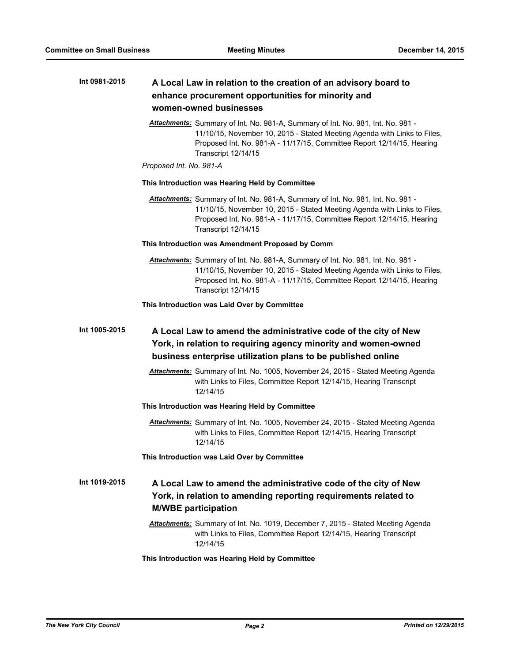#### **A Local Law in relation to the creation of an advisory board to enhance procurement opportunities for minority and women-owned businesses Int 0981-2015**

*Attachments:* Summary of Int. No. 981-A, Summary of Int. No. 981, Int. No. 981 - 11/10/15, November 10, 2015 - Stated Meeting Agenda with Links to Files, Proposed Int. No. 981-A - 11/17/15, Committee Report 12/14/15, Hearing Transcript 12/14/15

# *Proposed Int. No. 981-A*

#### **This Introduction was Hearing Held by Committee**

*Attachments:* Summary of Int. No. 981-A, Summary of Int. No. 981, Int. No. 981 - 11/10/15, November 10, 2015 - Stated Meeting Agenda with Links to Files, Proposed Int. No. 981-A - 11/17/15, Committee Report 12/14/15, Hearing Transcript 12/14/15

## **This Introduction was Amendment Proposed by Comm**

*Attachments:* Summary of Int. No. 981-A, Summary of Int. No. 981, Int. No. 981 - 11/10/15, November 10, 2015 - Stated Meeting Agenda with Links to Files, Proposed Int. No. 981-A - 11/17/15, Committee Report 12/14/15, Hearing Transcript 12/14/15

#### **This Introduction was Laid Over by Committee**

# **A Local Law to amend the administrative code of the city of New York, in relation to requiring agency minority and women-owned business enterprise utilization plans to be published online Int 1005-2015**

*Attachments:* Summary of Int. No. 1005, November 24, 2015 - Stated Meeting Agenda with Links to Files, Committee Report 12/14/15, Hearing Transcript 12/14/15

# **This Introduction was Hearing Held by Committee**

*Attachments:* Summary of Int. No. 1005, November 24, 2015 - Stated Meeting Agenda with Links to Files, Committee Report 12/14/15, Hearing Transcript 12/14/15

#### **This Introduction was Laid Over by Committee**

### **A Local Law to amend the administrative code of the city of New York, in relation to amending reporting requirements related to M/WBE participation Int 1019-2015**

*Attachments:* Summary of Int. No. 1019, December 7, 2015 - Stated Meeting Agenda with Links to Files, Committee Report 12/14/15, Hearing Transcript 12/14/15

### **This Introduction was Hearing Held by Committee**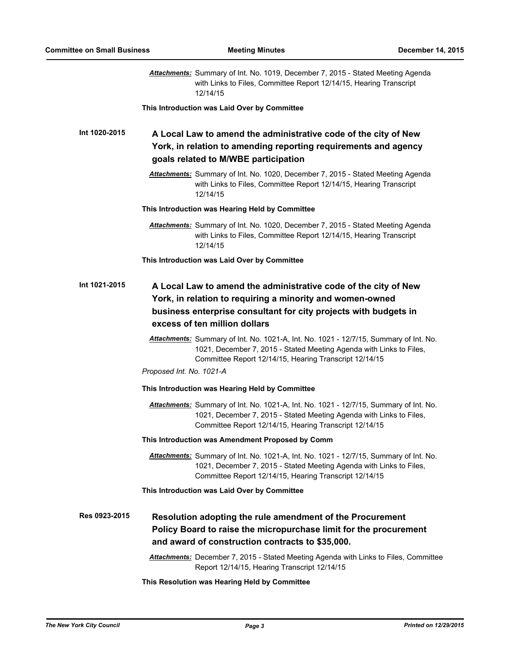|               | <b>Attachments:</b> Summary of Int. No. 1019, December 7, 2015 - Stated Meeting Agenda<br>with Links to Files, Committee Report 12/14/15, Hearing Transcript<br>12/14/15                                                                                                  |
|---------------|---------------------------------------------------------------------------------------------------------------------------------------------------------------------------------------------------------------------------------------------------------------------------|
|               | This Introduction was Laid Over by Committee                                                                                                                                                                                                                              |
| Int 1020-2015 | A Local Law to amend the administrative code of the city of New<br>York, in relation to amending reporting requirements and agency<br>goals related to M/WBE participation                                                                                                |
|               | Attachments: Summary of Int. No. 1020, December 7, 2015 - Stated Meeting Agenda<br>with Links to Files, Committee Report 12/14/15, Hearing Transcript<br>12/14/15                                                                                                         |
|               | This Introduction was Hearing Held by Committee                                                                                                                                                                                                                           |
|               | <b>Attachments:</b> Summary of Int. No. 1020, December 7, 2015 - Stated Meeting Agenda<br>with Links to Files, Committee Report 12/14/15, Hearing Transcript<br>12/14/15                                                                                                  |
|               | This Introduction was Laid Over by Committee                                                                                                                                                                                                                              |
| Int 1021-2015 | A Local Law to amend the administrative code of the city of New<br>York, in relation to requiring a minority and women-owned<br>business enterprise consultant for city projects with budgets in<br>excess of ten million dollars                                         |
|               | Attachments: Summary of Int. No. 1021-A, Int. No. 1021 - 12/7/15, Summary of Int. No.<br>1021, December 7, 2015 - Stated Meeting Agenda with Links to Files,<br>Committee Report 12/14/15, Hearing Transcript 12/14/15                                                    |
|               | Proposed Int. No. 1021-A                                                                                                                                                                                                                                                  |
|               | This Introduction was Hearing Held by Committee<br>Attachments: Summary of Int. No. 1021-A, Int. No. 1021 - 12/7/15, Summary of Int. No.<br>1021, December 7, 2015 - Stated Meeting Agenda with Links to Files,<br>Committee Report 12/14/15, Hearing Transcript 12/14/15 |
|               | This Introduction was Amendment Proposed by Comm                                                                                                                                                                                                                          |
|               | Attachments: Summary of Int. No. 1021-A, Int. No. 1021 - 12/7/15, Summary of Int. No.<br>1021, December 7, 2015 - Stated Meeting Agenda with Links to Files,<br>Committee Report 12/14/15, Hearing Transcript 12/14/15                                                    |
|               | This Introduction was Laid Over by Committee                                                                                                                                                                                                                              |
| Res 0923-2015 | Resolution adopting the rule amendment of the Procurement<br>Policy Board to raise the micropurchase limit for the procurement<br>and award of construction contracts to \$35,000.                                                                                        |
|               | Attachments: December 7, 2015 - Stated Meeting Agenda with Links to Files, Committee<br>Report 12/14/15, Hearing Transcript 12/14/15                                                                                                                                      |
|               | This Resolution was Hearing Held by Committee                                                                                                                                                                                                                             |